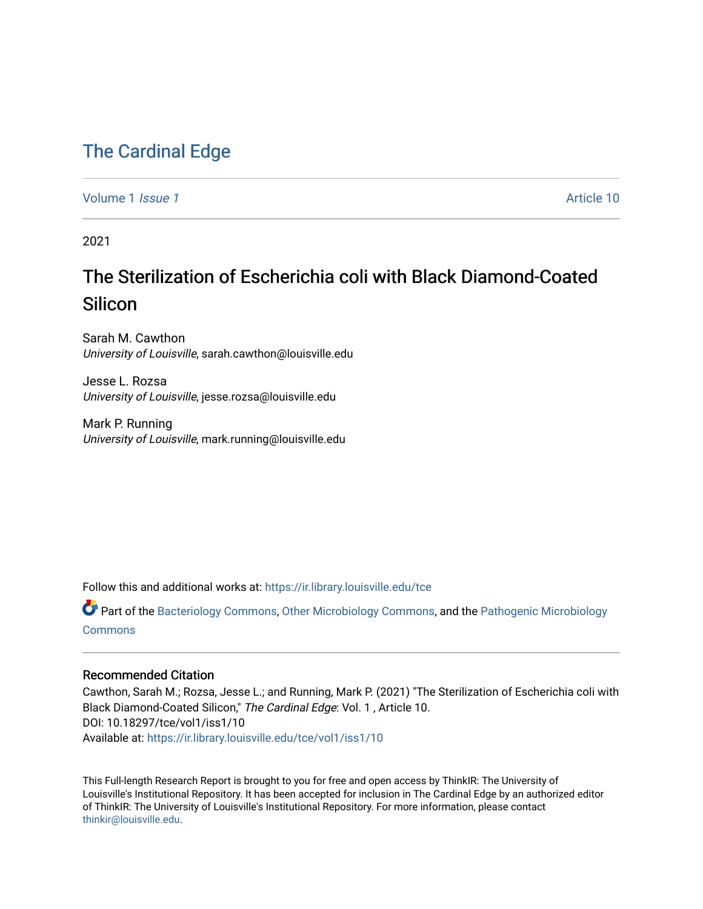## [The Cardinal Edge](https://ir.library.louisville.edu/tce)

[Volume 1](https://ir.library.louisville.edu/tce/vol1) *Issue 1* Article 10

2021

## The Sterilization of Escherichia coli with Black Diamond-Coated Silicon

Sarah M. Cawthon University of Louisville, sarah.cawthon@louisville.edu

Jesse L. Rozsa University of Louisville, jesse.rozsa@louisville.edu

Mark P. Running University of Louisville, mark.running@louisville.edu

Follow this and additional works at: [https://ir.library.louisville.edu/tce](https://ir.library.louisville.edu/tce?utm_source=ir.library.louisville.edu%2Ftce%2Fvol1%2Fiss1%2F10&utm_medium=PDF&utm_campaign=PDFCoverPages)

Part of the [Bacteriology Commons](http://network.bepress.com/hgg/discipline/49?utm_source=ir.library.louisville.edu%2Ftce%2Fvol1%2Fiss1%2F10&utm_medium=PDF&utm_campaign=PDFCoverPages), [Other Microbiology Commons,](http://network.bepress.com/hgg/discipline/54?utm_source=ir.library.louisville.edu%2Ftce%2Fvol1%2Fiss1%2F10&utm_medium=PDF&utm_campaign=PDFCoverPages) and the [Pathogenic Microbiology](http://network.bepress.com/hgg/discipline/52?utm_source=ir.library.louisville.edu%2Ftce%2Fvol1%2Fiss1%2F10&utm_medium=PDF&utm_campaign=PDFCoverPages) [Commons](http://network.bepress.com/hgg/discipline/52?utm_source=ir.library.louisville.edu%2Ftce%2Fvol1%2Fiss1%2F10&utm_medium=PDF&utm_campaign=PDFCoverPages)

#### Recommended Citation

Cawthon, Sarah M.; Rozsa, Jesse L.; and Running, Mark P. (2021) "The Sterilization of Escherichia coli with Black Diamond-Coated Silicon," The Cardinal Edge: Vol. 1 , Article 10. DOI: 10.18297/tce/vol1/iss1/10 Available at: [https://ir.library.louisville.edu/tce/vol1/iss1/10](https://ir.library.louisville.edu/tce/vol1/iss1/10?utm_source=ir.library.louisville.edu%2Ftce%2Fvol1%2Fiss1%2F10&utm_medium=PDF&utm_campaign=PDFCoverPages) 

This Full-length Research Report is brought to you for free and open access by ThinkIR: The University of Louisville's Institutional Repository. It has been accepted for inclusion in The Cardinal Edge by an authorized editor of ThinkIR: The University of Louisville's Institutional Repository. For more information, please contact [thinkir@louisville.edu.](mailto:thinkir@louisville.edu)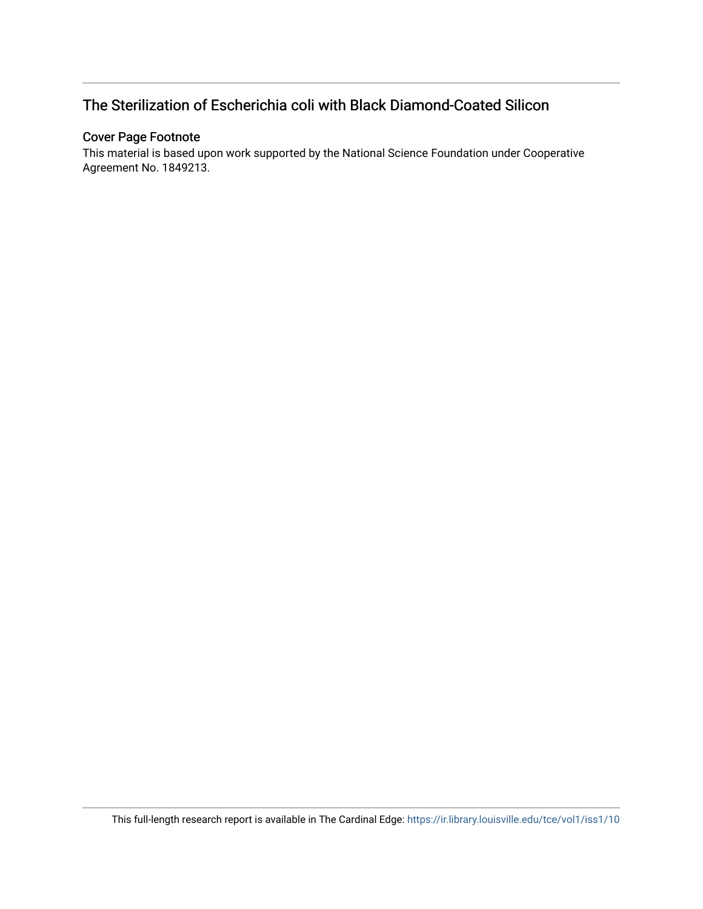### The Sterilization of Escherichia coli with Black Diamond-Coated Silicon

#### Cover Page Footnote

This material is based upon work supported by the National Science Foundation under Cooperative Agreement No. 1849213.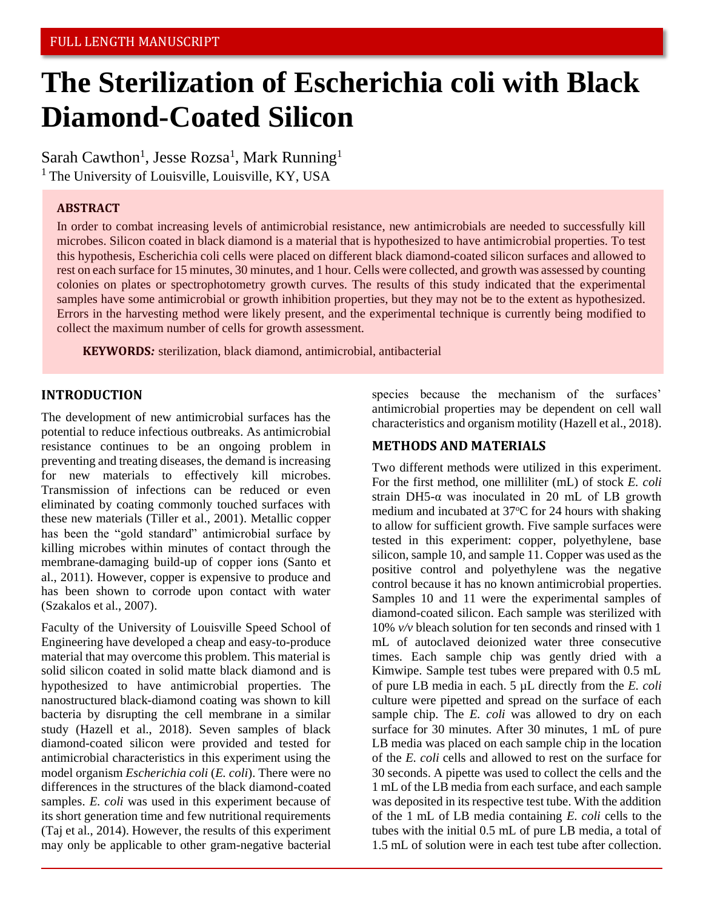# **The Sterilization of Escherichia coli with Black Diamond-Coated Silicon**

Sarah Cawthon<sup>1</sup>, Jesse Rozsa<sup>1</sup>, Mark Running<sup>1</sup>  $<sup>1</sup>$  The University of Louisville, Louisville, KY, USA</sup>

#### **ABSTRACT**

In order to combat increasing levels of antimicrobial resistance, new antimicrobials are needed to successfully kill microbes. Silicon coated in black diamond is a material that is hypothesized to have antimicrobial properties. To test this hypothesis, Escherichia coli cells were placed on different black diamond-coated silicon surfaces and allowed to rest on each surface for 15 minutes, 30 minutes, and 1 hour. Cells were collected, and growth was assessed by counting colonies on plates or spectrophotometry growth curves. The results of this study indicated that the experimental samples have some antimicrobial or growth inhibition properties, but they may not be to the extent as hypothesized. Errors in the harvesting method were likely present, and the experimental technique is currently being modified to collect the maximum number of cells for growth assessment.

**KEYWORDS***:* sterilization, black diamond, antimicrobial, antibacterial

#### **INTRODUCTION**

The development of new antimicrobial surfaces has the potential to reduce infectious outbreaks. As antimicrobial resistance continues to be an ongoing problem in preventing and treating diseases, the demand is increasing for new materials to effectively kill microbes. Transmission of infections can be reduced or even eliminated by coating commonly touched surfaces with these new materials (Tiller et al., 2001). Metallic copper has been the "gold standard" antimicrobial surface by killing microbes within minutes of contact through the membrane-damaging build-up of copper ions (Santo et al., 2011). However, copper is expensive to produce and has been shown to corrode upon contact with water (Szakalos et al., 2007).

Faculty of the University of Louisville Speed School of Engineering have developed a cheap and easy-to-produce material that may overcome this problem. This material is solid silicon coated in solid matte black diamond and is hypothesized to have antimicrobial properties. The nanostructured black-diamond coating was shown to kill bacteria by disrupting the cell membrane in a similar study (Hazell et al., 2018). Seven samples of black diamond-coated silicon were provided and tested for antimicrobial characteristics in this experiment using the model organism *Escherichia coli* (*E. coli*). There were no differences in the structures of the black diamond-coated samples. *E. coli* was used in this experiment because of its short generation time and few nutritional requirements (Taj et al., 2014). However, the results of this experiment may only be applicable to other gram-negative bacterial

species because the mechanism of the surfaces' antimicrobial properties may be dependent on cell wall characteristics and organism motility (Hazell et al., 2018).

#### **METHODS AND MATERIALS**

Two different methods were utilized in this experiment. For the first method, one milliliter (mL) of stock *E. coli* strain DH5- $\alpha$  was inoculated in 20 mL of LB growth medium and incubated at  $37^{\circ}$ C for 24 hours with shaking to allow for sufficient growth. Five sample surfaces were tested in this experiment: copper, polyethylene, base silicon, sample 10, and sample 11. Copper was used as the positive control and polyethylene was the negative control because it has no known antimicrobial properties. Samples 10 and 11 were the experimental samples of diamond-coated silicon. Each sample was sterilized with 10% *v/v* bleach solution for ten seconds and rinsed with 1 mL of autoclaved deionized water three consecutive times. Each sample chip was gently dried with a Kimwipe. Sample test tubes were prepared with 0.5 mL of pure LB media in each. 5 µL directly from the *E. coli* culture were pipetted and spread on the surface of each sample chip. The *E. coli* was allowed to dry on each surface for 30 minutes. After 30 minutes, 1 mL of pure LB media was placed on each sample chip in the location of the *E. coli* cells and allowed to rest on the surface for 30 seconds. A pipette was used to collect the cells and the 1 mL of the LB media from each surface, and each sample was deposited in its respective test tube. With the addition of the 1 mL of LB media containing *E. coli* cells to the tubes with the initial 0.5 mL of pure LB media, a total of 1.5 mL of solution were in each test tube after collection.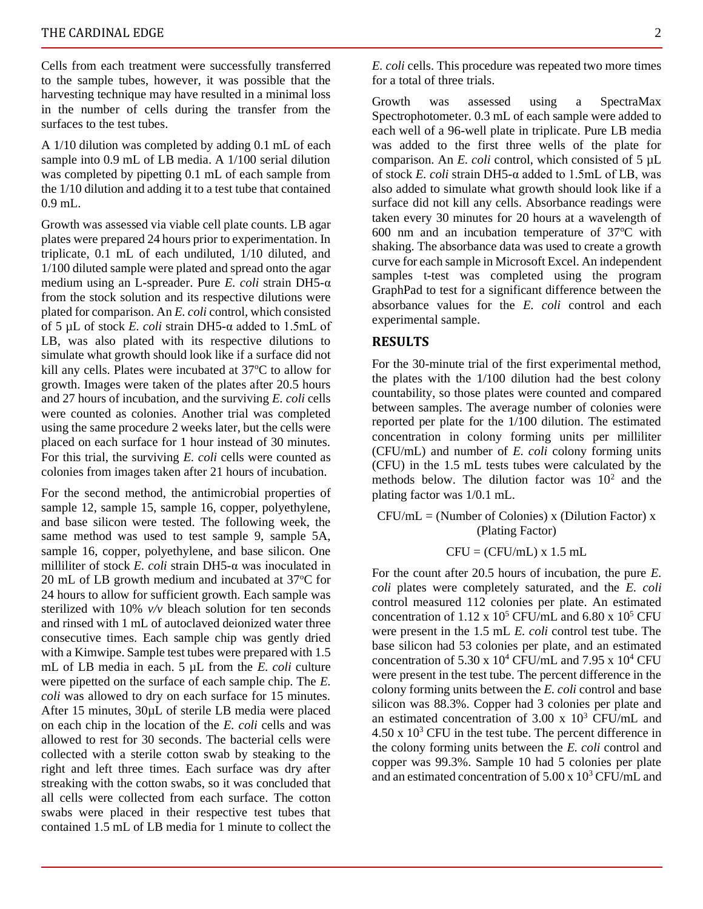Cells from each treatment were successfully transferred to the sample tubes, however, it was possible that the harvesting technique may have resulted in a minimal loss in the number of cells during the transfer from the surfaces to the test tubes.

A 1/10 dilution was completed by adding 0.1 mL of each sample into 0.9 mL of LB media. A 1/100 serial dilution was completed by pipetting 0.1 mL of each sample from the 1/10 dilution and adding it to a test tube that contained 0.9 mL.

Growth was assessed via viable cell plate counts. LB agar plates were prepared 24 hours prior to experimentation. In triplicate, 0.1 mL of each undiluted, 1/10 diluted, and 1/100 diluted sample were plated and spread onto the agar medium using an L-spreader. Pure *E. coli* strain DH5-α from the stock solution and its respective dilutions were plated for comparison. An *E. coli* control, which consisted of 5 µL of stock *E. coli* strain DH5-α added to 1.5mL of LB, was also plated with its respective dilutions to simulate what growth should look like if a surface did not kill any cells. Plates were incubated at  $37^{\circ}$ C to allow for growth. Images were taken of the plates after 20.5 hours and 27 hours of incubation, and the surviving *E. coli* cells were counted as colonies. Another trial was completed using the same procedure 2 weeks later, but the cells were placed on each surface for 1 hour instead of 30 minutes. For this trial, the surviving *E. coli* cells were counted as colonies from images taken after 21 hours of incubation.

For the second method, the antimicrobial properties of sample 12, sample 15, sample 16, copper, polyethylene, and base silicon were tested. The following week, the same method was used to test sample 9, sample 5A, sample 16, copper, polyethylene, and base silicon. One milliliter of stock *E. coli* strain DH5-α was inoculated in 20 mL of LB growth medium and incubated at  $37^{\circ}$ C for 24 hours to allow for sufficient growth. Each sample was sterilized with 10% *v/v* bleach solution for ten seconds and rinsed with 1 mL of autoclaved deionized water three consecutive times. Each sample chip was gently dried with a Kimwipe. Sample test tubes were prepared with 1.5 mL of LB media in each. 5 µL from the *E. coli* culture were pipetted on the surface of each sample chip. The *E. coli* was allowed to dry on each surface for 15 minutes. After 15 minutes, 30µL of sterile LB media were placed on each chip in the location of the *E. coli* cells and was allowed to rest for 30 seconds. The bacterial cells were collected with a sterile cotton swab by steaking to the right and left three times. Each surface was dry after streaking with the cotton swabs, so it was concluded that all cells were collected from each surface. The cotton swabs were placed in their respective test tubes that contained 1.5 mL of LB media for 1 minute to collect the

*E. coli* cells. This procedure was repeated two more times for a total of three trials.

Growth was assessed using a SpectraMax Spectrophotometer. 0.3 mL of each sample were added to each well of a 96-well plate in triplicate. Pure LB media was added to the first three wells of the plate for comparison. An *E. coli* control, which consisted of 5 µL of stock *E. coli* strain DH5-α added to 1.5mL of LB, was also added to simulate what growth should look like if a surface did not kill any cells. Absorbance readings were taken every 30 minutes for 20 hours at a wavelength of 600 nm and an incubation temperature of  $37^{\circ}$ C with shaking. The absorbance data was used to create a growth curve for each sample in Microsoft Excel. An independent samples t-test was completed using the program GraphPad to test for a significant difference between the absorbance values for the *E. coli* control and each experimental sample.

#### **RESULTS**

For the 30-minute trial of the first experimental method, the plates with the 1/100 dilution had the best colony countability, so those plates were counted and compared between samples. The average number of colonies were reported per plate for the 1/100 dilution. The estimated concentration in colony forming units per milliliter (CFU/mL) and number of *E. coli* colony forming units (CFU) in the 1.5 mL tests tubes were calculated by the methods below. The dilution factor was  $10^2$  and the plating factor was 1/0.1 mL.

 $CFU/mL = (Number of colonies) x (Dilution Factor) x$ (Plating Factor)

$$
CFU = (CFU/mL) \times 1.5 \, mL
$$

For the count after 20.5 hours of incubation, the pure *E. coli* plates were completely saturated, and the *E. coli* control measured 112 colonies per plate. An estimated concentration of  $1.12 \times 10^5$  CFU/mL and  $6.80 \times 10^5$  CFU were present in the 1.5 mL *E. coli* control test tube. The base silicon had 53 colonies per plate, and an estimated concentration of 5.30 x  $10^4$  CFU/mL and 7.95 x  $10^4$  CFU were present in the test tube. The percent difference in the colony forming units between the *E. coli* control and base silicon was 88.3%. Copper had 3 colonies per plate and an estimated concentration of  $3.00 \times 10^3$  CFU/mL and  $4.50 \times 10^3$  CFU in the test tube. The percent difference in the colony forming units between the *E. coli* control and copper was 99.3%. Sample 10 had 5 colonies per plate and an estimated concentration of  $5.00 \times 10^3$  CFU/mL and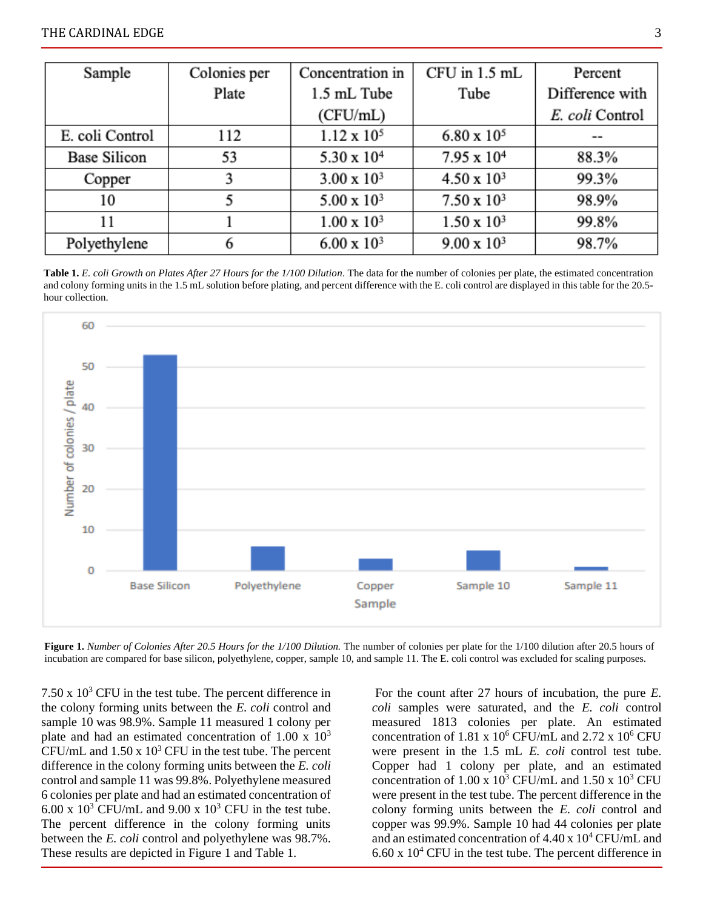| Sample              | Colonies per | Concentration in     | CFU in 1.5 mL        | Percent         |
|---------------------|--------------|----------------------|----------------------|-----------------|
|                     | Plate        | 1.5 mL Tube          | Tube                 | Difference with |
|                     |              | (CFU/mL)             |                      | E. coli Control |
| E. coli Control     | 112          | $1.12 \times 10^{5}$ | $6.80 \times 10^{5}$ | $- -$           |
| <b>Base Silicon</b> | 53           | $5.30 \times 10^{4}$ | $7.95 \times 10^{4}$ | 88.3%           |
| Copper              | 3            | $3.00 \times 10^{3}$ | $4.50 \times 10^{3}$ | 99.3%           |
| 10                  |              | $5.00 \times 10^{3}$ | $7.50 \times 10^{3}$ | 98.9%           |
| 11                  |              | $1.00 \times 10^3$   | $1.50 \times 10^{3}$ | 99.8%           |
| Polyethylene        | 6            | $6.00 \times 10^{3}$ | $9.00 \times 10^{3}$ | 98.7%           |

Table 1. E. coli Growth on Plates After 27 Hours for the 1/100 Dilution. The data for the number of colonies per plate, the estimated concentration and colony forming units in the 1.5 mL solution before plating, and percent difference with the E. coli control are displayed in this table for the 20.5hour collection. hour collection.



**Figure 1.** *Number of Colonies After 20.5 Hours for the 1/100 Dilution.* The number of colonies per plate for the 1/100 dilution after 20.5 hours of incubation are compared for base silicon, polyethylene, copper, sample 10, and sample 11. The E. coli control was excluded for scaling purposes.

7.50 x  $10<sup>3</sup>$  CFU in the test tube. The percent difference in the colony forming units between the *E. coli* control and sample 10 was 98.9%. Sample 11 measured 1 colony per plate and had an estimated concentration of  $1.00 \times 10^3$ CFU/mL and  $1.50 \times 10^3$  CFU in the test tube. The percent difference in the colony forming units between the *E. coli* control and sample 11 was 99.8%. Polyethylene measured 6 colonies per plate and had an estimated concentration of 6.00 x  $10^3$  CFU/mL and 9.00 x  $10^3$  CFU in the test tube. The percent difference in the colony forming units between the *E. coli* control and polyethylene was 98.7%. These results are depicted in Figure 1 and Table 1.

For the count after 27 hours of incubation, the pure *E. coli* samples were saturated, and the *E. coli* control measured 1813 colonies per plate. An estimated concentration of 1.81 x  $10^6$  CFU/mL and 2.72 x  $10^6$  CFU were present in the 1.5 mL *E. coli* control test tube. Copper had 1 colony per plate, and an estimated concentration of  $1.00 \times 10^3$  CFU/mL and  $1.50 \times 10^3$  CFU were present in the test tube. The percent difference in the colony forming units between the *E. coli* control and copper was 99.9%. Sample 10 had 44 colonies per plate and an estimated concentration of  $4.40 \times 10^4$  CFU/mL and  $6.60 \times 10^4$  CFU in the test tube. The percent difference in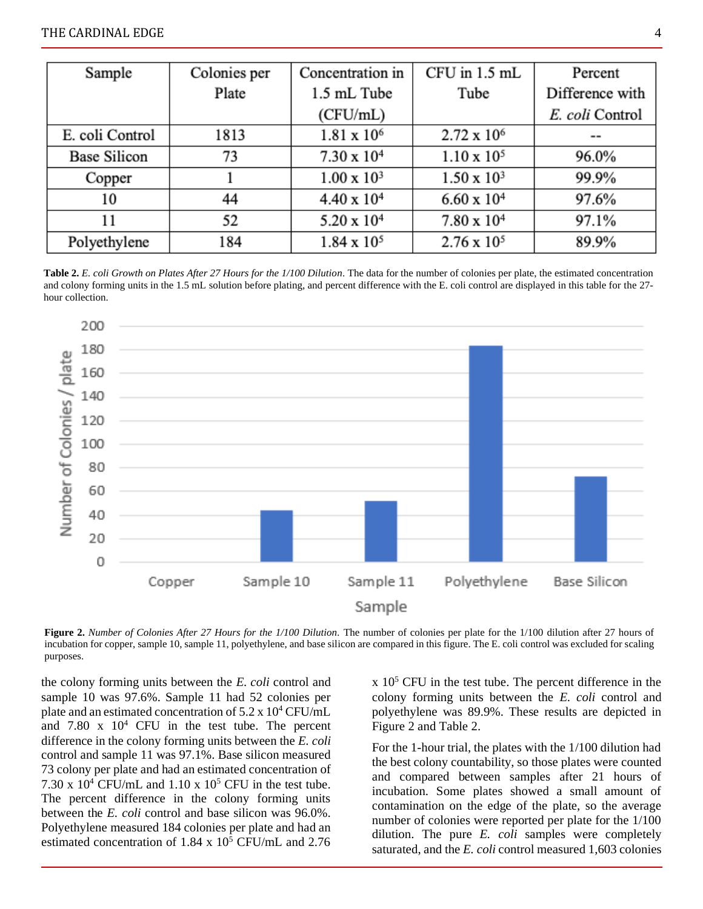| Sample              | Colonies per | Concentration in     | CFU in 1.5 mL        | Percent         |
|---------------------|--------------|----------------------|----------------------|-----------------|
|                     | Plate        | 1.5 mL Tube          | Tube                 |                 |
|                     |              | (CFU/mL)             |                      | E. coli Control |
| E. coli Control     | 1813         | $1.81 \times 10^{6}$ | $2.72 \times 10^6$   | $= -$           |
| <b>Base Silicon</b> | 73           | $7.30 \times 10^{4}$ | $1.10 \times 10^{5}$ | 96.0%           |
| Copper              |              | $1.00 \times 10^3$   | $1.50 \times 10^{3}$ | 99.9%           |
| 10                  | 44           | $4.40 \times 10^{4}$ | $6.60 \times 10^{4}$ | 97.6%           |
| 11                  | 52           | $5.20 \times 10^{4}$ | $7.80 \times 10^4$   | 97.1%           |
| Polyethylene        | 184          | $1.84 \times 10^{5}$ | $2.76 \times 10^{5}$ | 89.9%           |

**Table 2.** *E. coli Growth on Plates After 27 Hours for the 1/100 Dilution*. The data for the number of colonies per plate, the estimated concentration and colony forming units in the 1.5 mL solution before plating, and percent difference with the E. coli control are displayed in this table for the 27 hour collection.



**Figure 2.** *Number of Colonies After 27 Hours for the 1/100 Dilution.* The number of colonies per plate for the 1/100 dilution after 27 hours of incubation for copper, sample 10, sample 11, polyethylene, and base silicon are compared in this figure. The E. coli control was excluded for scaling purposes.

the colony forming units between the *E. coli* control and sample 10 was 97.6%. Sample 11 had 52 colonies per plate and an estimated concentration of 5.2 x 10<sup>4</sup> CFU/mL and  $7.80 \times 10^4$  CFU in the test tube. The percent difference in the colony forming units between the *E. coli* control and sample 11 was 97.1%. Base silicon measured 73 colony per plate and had an estimated concentration of 7.30 x  $10^4$  CFU/mL and 1.10 x  $10^5$  CFU in the test tube. The percent difference in the colony forming units between the *E. coli* control and base silicon was 96.0%. Polyethylene measured 184 colonies per plate and had an estimated concentration of  $1.84 \times 10^5$  CFU/mL and 2.76

 $x$  10<sup>5</sup> CFU in the test tube. The percent difference in the colony forming units between the *E. coli* control and polyethylene was 89.9%. These results are depicted in Figure 2 and Table 2.

For the 1-hour trial, the plates with the 1/100 dilution had the best colony countability, so those plates were counted and compared between samples after 21 hours of incubation. Some plates showed a small amount of contamination on the edge of the plate, so the average number of colonies were reported per plate for the 1/100 dilution. The pure *E. coli* samples were completely saturated, and the *E. coli* control measured 1,603 colonies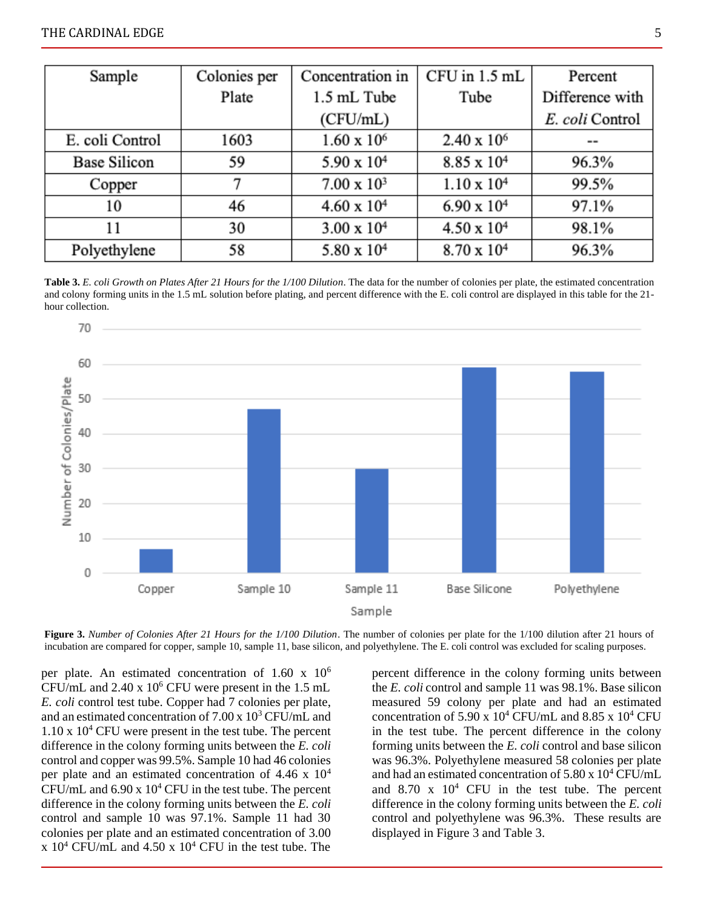| Sample              | Colonies per | CFU in 1.5 mL<br>Concentration in |                      | Percent         |
|---------------------|--------------|-----------------------------------|----------------------|-----------------|
|                     | Plate        | 1.5 mL Tube                       | Tube                 | Difference with |
|                     |              | (CFU/mL)                          |                      | E. coli Control |
| E. coli Control     | 1603         | $1.60 \times 10^6$                | $2.40 \times 10^6$   | $- -$           |
| <b>Base Silicon</b> | 59           | $5.90 \times 10^{4}$              | $8.85 \times 10^{4}$ | 96.3%           |
| Copper              |              | $7.00 \times 10^3$                | $1.10 \times 10^{4}$ | 99.5%           |
| 10                  | 46           | $4.60 \times 10^{4}$              | $6.90 \times 10^{4}$ | 97.1%           |
| 11                  | 30           | $3.00 \times 10^{4}$              | $4.50 \times 10^{4}$ | 98.1%           |
| Polyethylene        | 58           | $5.80 \times 10^{4}$              | $8.70 \times 10^{4}$ | 96.3%           |

**Table 3.** *E. coli Growth on Plates After 21 Hours for the 1/100 Dilution*. The data for the number of colonies per plate, the estimated concentration and colony forming units in the 1.5 mL solution before plating, and percent difference with the E. coli control are displayed in this table for the 21 hour collection.



**Figure 3.** *Number of Colonies After 21 Hours for the 1/100 Dilution*. The number of colonies per plate for the 1/100 dilution after 21 hours of incubation are compared for copper, sample 10, sample 11, base silicon, and polyethylene. The E. coli control was excluded for scaling purposes.

per plate. An estimated concentration of  $1.60 \times 10^6$ CFU/mL and  $2.40 \times 10^6$  CFU were present in the 1.5 mL *E. coli* control test tube. Copper had 7 colonies per plate, and an estimated concentration of  $7.00 \times 10^3$  CFU/mL and  $1.10 \times 10^4$  CFU were present in the test tube. The percent difference in the colony forming units between the *E. coli* control and copper was 99.5%. Sample 10 had 46 colonies per plate and an estimated concentration of 4.46 x 10<sup>4</sup> CFU/mL and  $6.90 \times 10^4$  CFU in the test tube. The percent difference in the colony forming units between the *E. coli* control and sample 10 was 97.1%. Sample 11 had 30 colonies per plate and an estimated concentration of 3.00 x  $10^4$  CFU/mL and  $4.50$  x  $10^4$  CFU in the test tube. The

percent difference in the colony forming units between the *E. coli* control and sample 11 was 98.1%. Base silicon measured 59 colony per plate and had an estimated concentration of 5.90 x  $10^4$  CFU/mL and 8.85 x  $10^4$  CFU in the test tube. The percent difference in the colony forming units between the *E. coli* control and base silicon was 96.3%. Polyethylene measured 58 colonies per plate and had an estimated concentration of 5.80 x 10<sup>4</sup> CFU/mL and  $8.70 \times 10^4$  CFU in the test tube. The percent difference in the colony forming units between the *E. coli* control and polyethylene was 96.3%. These results are displayed in Figure 3 and Table 3.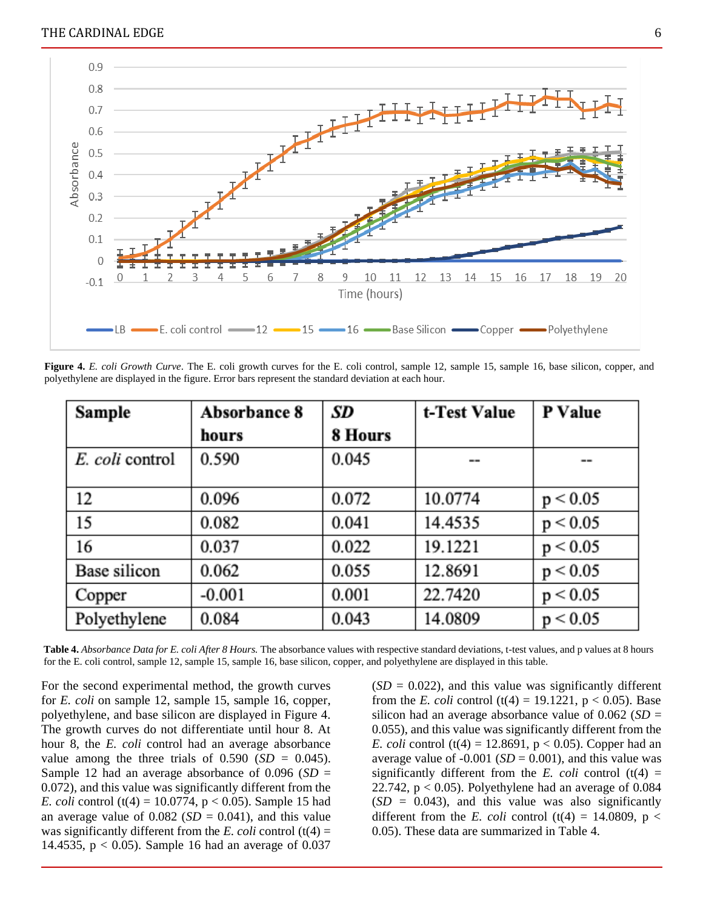

**Figure 4.** *E. coli Growth Curve*. The E. coli growth curves for the E. coli control, sample 12, sample 15, sample 16, base silicon, copper, and polyethylene are displayed in the figure. Error bars represent the standard deviation at each hour.

| Sample          | Absorbance 8 | SD      | t-Test Value | P Value  |
|-----------------|--------------|---------|--------------|----------|
|                 | hours        | 8 Hours |              |          |
| E. coli control | 0.590        | 0.045   | --           | --       |
|                 |              |         |              |          |
| 12              | 0.096        | 0.072   | 10.0774      | p < 0.05 |
| 15              | 0.082        | 0.041   | 14.4535      | p < 0.05 |
| 16              | 0.037        | 0.022   | 19.1221      | p < 0.05 |
| Base silicon    | 0.062        | 0.055   | 12.8691      | p < 0.05 |
| Copper          | $-0.001$     | 0.001   | 22.7420      | p < 0.05 |
| Polyethylene    | 0.084        | 0.043   | 14.0809      | p < 0.05 |

**Table 4.** *Absorbance Data for E. coli After 8 Hours.* The absorbance values with respective standard deviations, t-test values, and p values at 8 hours for the E. coli control, sample 12, sample 15, sample 16, base silicon, copper, and polyethylene are displayed in this table.

For the second experimental method, the growth curves for *E. coli* on sample 12, sample 15, sample 16, copper, polyethylene, and base silicon are displayed in Figure 4. The growth curves do not differentiate until hour 8. At hour 8, the *E. coli* control had an average absorbance value among the three trials of  $0.590$  (*SD* = 0.045). Sample 12 had an average absorbance of 0.096 (*SD* = 0.072), and this value was significantly different from the *E. coli* control (t(4) = 10.0774,  $p < 0.05$ ). Sample 15 had an average value of  $0.082$  (*SD* = 0.041), and this value was significantly different from the *E. coli* control  $(t(4) =$ 14.4535,  $p < 0.05$ ). Sample 16 had an average of 0.037  $(SD = 0.022)$ , and this value was significantly different from the *E. coli* control (t(4) = 19.1221,  $p < 0.05$ ). Base silicon had an average absorbance value of  $0.062$  (*SD* = 0.055), and this value was significantly different from the *E. coli* control (t(4) = 12.8691,  $p < 0.05$ ). Copper had an average value of  $-0.001$  (*SD* = 0.001), and this value was significantly different from the *E. coli* control  $(t(4) =$ 22.742,  $p < 0.05$ ). Polyethylene had an average of 0.084  $(SD = 0.043)$ , and this value was also significantly different from the *E. coli* control (t(4) = 14.0809, p < 0.05). These data are summarized in Table 4.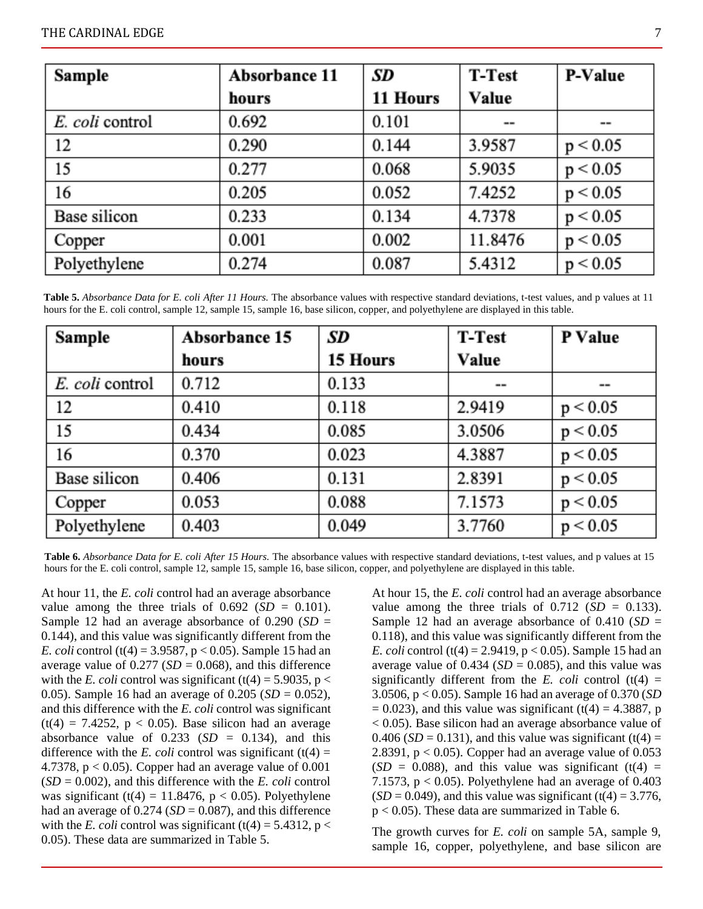| Sample          | Absorbance 11 | SD       | <b>T-Test</b> | P-Value  |
|-----------------|---------------|----------|---------------|----------|
|                 | hours         | 11 Hours | Value         |          |
| E. coli control | 0.692         | 0.101    | $- -$         | --       |
| 12              | 0.290         | 0.144    | 3.9587        | p < 0.05 |
| 15              | 0.277         | 0.068    | 5.9035        | p < 0.05 |
| 16              | 0.205         | 0.052    | 7.4252        | p < 0.05 |
| Base silicon    | 0.233         | 0.134    | 4.7378        | p < 0.05 |
| Copper          | 0.001         | 0.002    | 11.8476       | p < 0.05 |
| Polyethylene    | 0.274         | 0.087    | 5.4312        | p < 0.05 |

**Table 5.** *Absorbance Data for E. coli After 11 Hours.* The absorbance values with respective standard deviations, t-test values, and p values at 11 hours for the E. coli control, sample 12, sample 15, sample 16, base silicon, copper, and polyethylene are displayed in this table.

| Sample          | <b>Absorbance 15</b> | SD       | <b>T-Test</b>                | P Value  |
|-----------------|----------------------|----------|------------------------------|----------|
|                 | hours                | 15 Hours | Value                        |          |
| E. coli control | 0.712                | 0.133    | $\qquad \qquad \blacksquare$ | --       |
| 12              | 0.410                | 0.118    | 2.9419                       | p < 0.05 |
| 15              | 0.434                | 0.085    | 3.0506                       | p < 0.05 |
| 16              | 0.370                | 0.023    | 4.3887                       | p < 0.05 |
| Base silicon    | 0.406                | 0.131    | 2.8391                       | p < 0.05 |
| Copper          | 0.053                | 0.088    | 7.1573                       | p < 0.05 |
| Polyethylene    | 0.403                | 0.049    | 3.7760                       | p < 0.05 |

**Table 6.** *Absorbance Data for E. coli After 15 Hours.* The absorbance values with respective standard deviations, t-test values, and p values at 15 hours for the E. coli control, sample 12, sample 15, sample 16, base silicon, copper, and polyethylene are displayed in this table.

At hour 11, the *E. coli* control had an average absorbance value among the three trials of  $0.692$  (*SD* = 0.101). Sample 12 had an average absorbance of 0.290 (*SD* = 0.144), and this value was significantly different from the *E. coli* control (t(4) = 3.9587, p < 0.05). Sample 15 had an average value of  $0.277$  (*SD* = 0.068), and this difference with the *E. coli* control was significant (t(4) = 5.9035, p < 0.05). Sample 16 had an average of 0.205 (*SD* = 0.052), and this difference with the *E. coli* control was significant  $(t(4) = 7.4252, p < 0.05)$ . Base silicon had an average absorbance value of  $0.233$  (*SD* = 0.134), and this difference with the *E. coli* control was significant  $(t(4) =$ 4.7378,  $p < 0.05$ ). Copper had an average value of  $0.001$  $(SD = 0.002)$ , and this difference with the *E. coli* control was significant (t(4) = 11.8476,  $p < 0.05$ ). Polyethylene had an average of  $0.274$  (*SD* = 0.087), and this difference with the *E. coli* control was significant (t(4) = 5.4312, p < 0.05). These data are summarized in Table 5.

At hour 15, the *E. coli* control had an average absorbance value among the three trials of  $0.712$  (*SD* = 0.133). Sample 12 had an average absorbance of 0.410 (*SD* = 0.118), and this value was significantly different from the *E. coli* control (t(4) = 2.9419,  $p < 0.05$ ). Sample 15 had an average value of  $0.434$  (*SD* = 0.085), and this value was significantly different from the *E. coli* control  $(t(4) =$ 3.0506, p < 0.05). Sample 16 had an average of 0.370 (*SD*  $= 0.023$ ), and this value was significant (t(4)  $= 4.3887$ , p < 0.05). Base silicon had an average absorbance value of 0.406 ( $SD = 0.131$ ), and this value was significant (t(4) = 2.8391,  $p < 0.05$ ). Copper had an average value of 0.053  $(SD = 0.088)$ , and this value was significant  $(t(4) =$ 7.1573,  $p < 0.05$ ). Polyethylene had an average of 0.403  $(SD = 0.049)$ , and this value was significant (t(4) = 3.776, p < 0.05). These data are summarized in Table 6.

The growth curves for *E. coli* on sample 5A, sample 9, sample 16, copper, polyethylene, and base silicon are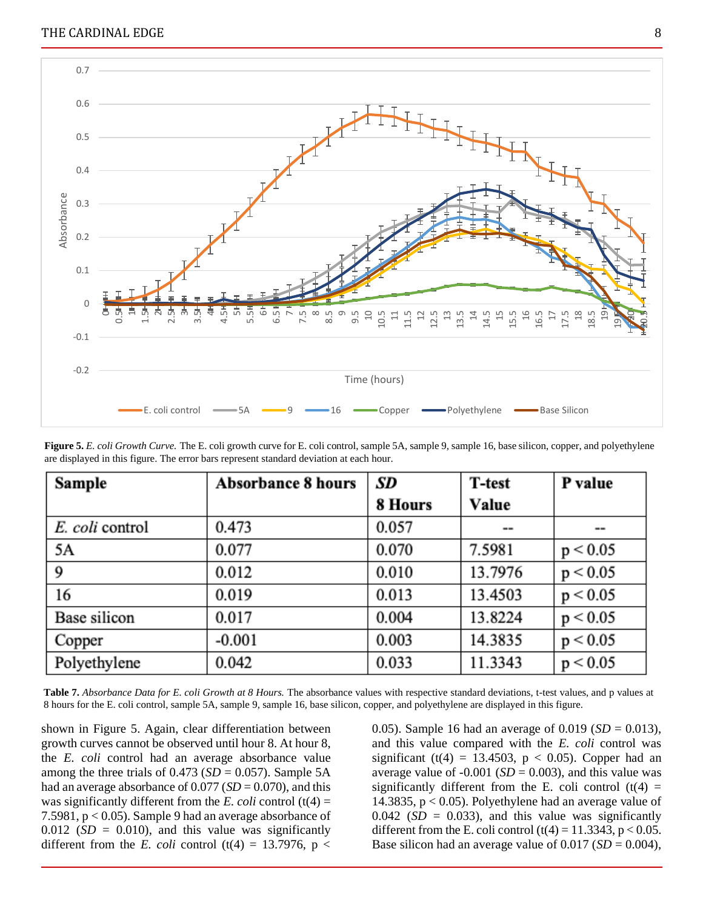

**Figure 5.** *E. coli Growth Curve.* The E. coli growth curve for E. coli control, sample 5A, sample 9, sample 16, base silicon, copper, and polyethylene are displayed in this figure. The error bars represent standard deviation at each hour.

| Sample          | <b>Absorbance 8 hours</b> | SD      | <b>T-test</b> | P value  |
|-----------------|---------------------------|---------|---------------|----------|
|                 |                           | 8 Hours | Value         |          |
| E. coli control | 0.473                     | 0.057   | --            | --       |
| 5A              | 0.077                     | 0.070   | 7.5981        | p < 0.05 |
| 9               | 0.012                     | 0.010   | 13.7976       | p < 0.05 |
| 16              | 0.019                     | 0.013   | 13.4503       | p < 0.05 |
| Base silicon    | 0.017                     | 0.004   | 13.8224       | p < 0.05 |
| Copper          | $-0.001$                  | 0.003   | 14.3835       | p < 0.05 |
| Polyethylene    | 0.042                     | 0.033   | 11.3343       | p < 0.05 |

**Table 7.** *Absorbance Data for E. coli Growth at 8 Hours.* The absorbance values with respective standard deviations, t-test values, and p values at 8 hours for the E. coli control, sample 5A, sample 9, sample 16, base silicon, copper, and polyethylene are displayed in this figure.

shown in Figure 5. Again, clear differentiation between growth curves cannot be observed until hour 8. At hour 8, the *E. coli* control had an average absorbance value among the three trials of  $0.473$  (*SD* = 0.057). Sample 5A had an average absorbance of  $0.077$  (*SD* = 0.070), and this was significantly different from the *E. coli* control  $(t(4) =$ 7.5981, p < 0.05). Sample 9 had an average absorbance of  $0.012$  (*SD* = 0.010), and this value was significantly different from the *E. coli* control (t(4) = 13.7976, p <

0.05). Sample 16 had an average of 0.019 ( $SD = 0.013$ ), and this value compared with the *E. coli* control was significant (t(4) = 13.4503,  $p < 0.05$ ). Copper had an average value of  $-0.001$  (*SD* = 0.003), and this value was significantly different from the E. coli control  $(t(4) =$ 14.3835, p < 0.05). Polyethylene had an average value of  $0.042$  (*SD* = 0.033), and this value was significantly different from the E. coli control  $(t(4) = 11.3343, p < 0.05$ . Base silicon had an average value of  $0.017$  (*SD* = 0.004),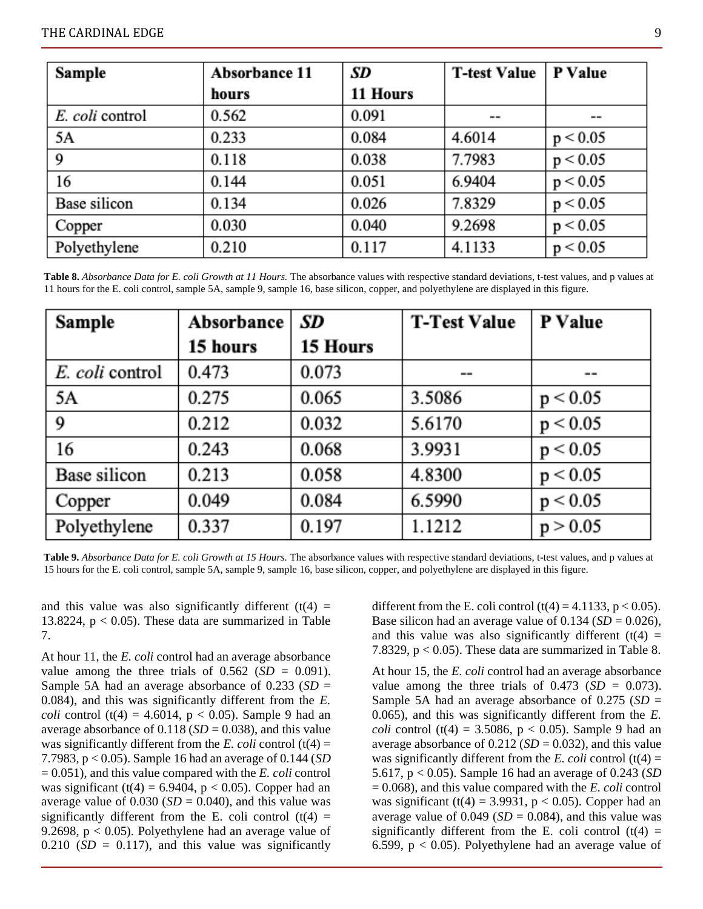| Sample          | Absorbance 11 | SD       | <b>T-test Value</b> | P Value  |
|-----------------|---------------|----------|---------------------|----------|
|                 | hours         | 11 Hours |                     |          |
| E. coli control | 0.562         | 0.091    | $= -$               | $=$ $-$  |
| 5Α              | 0.233         | 0.084    | 4.6014              | p < 0.05 |
| 9               | 0.118         | 0.038    | 7.7983              | p < 0.05 |
| 16              | 0.144         | 0.051    | 6.9404              | p < 0.05 |
| Base silicon    | 0.134         | 0.026    | 7.8329              | p < 0.05 |
| Copper          | 0.030         | 0.040    | 9.2698              | p < 0.05 |
| Polyethylene    | 0.210         | 0.117    | 4.1133              | p < 0.05 |

**Table 8.** *Absorbance Data for E. coli Growth at 11 Hours.* The absorbance values with respective standard deviations, t-test values, and p values at 11 hours for the E. coli control, sample 5A, sample 9, sample 16, base silicon, copper, and polyethylene are displayed in this figure.

| Sample          | Absorbance | SD       | <b>T-Test Value</b> | P Value  |
|-----------------|------------|----------|---------------------|----------|
|                 | 15 hours   | 15 Hours |                     |          |
| E. coli control | 0.473      | 0.073    | --                  | $= -$    |
| 5A              | 0.275      | 0.065    | 3.5086              | p < 0.05 |
| 9               | 0.212      | 0.032    | 5.6170              | p < 0.05 |
| 16              | 0.243      | 0.068    | 3.9931              | p < 0.05 |
| Base silicon    | 0.213      | 0.058    | 4.8300              | p < 0.05 |
| Copper          | 0.049      | 0.084    | 6.5990              | p < 0.05 |
| Polyethylene    | 0.337      | 0.197    | 1.1212              | p > 0.05 |

**Table 9.** *Absorbance Data for E. coli Growth at 15 Hours.* The absorbance values with respective standard deviations, t-test values, and p values at 15 hours for the E. coli control, sample 5A, sample 9, sample 16, base silicon, copper, and polyethylene are displayed in this figure.

and this value was also significantly different  $(t(4) =$ 13.8224,  $p < 0.05$ ). These data are summarized in Table 7.

At hour 11, the *E. coli* control had an average absorbance value among the three trials of  $0.562$  (*SD* = 0.091). Sample 5A had an average absorbance of 0.233 (*SD* = 0.084), and this was significantly different from the *E. coli* control (t(4) = 4.6014,  $p < 0.05$ ). Sample 9 had an average absorbance of  $0.118$  ( $SD = 0.038$ ), and this value was significantly different from the *E. coli* control  $(t(4) =$ 7.7983, p < 0.05). Sample 16 had an average of 0.144 (*SD* = 0.051), and this value compared with the *E. coli* control was significant (t(4) = 6.9404,  $p < 0.05$ ). Copper had an average value of  $0.030$  (*SD* =  $0.040$ ), and this value was significantly different from the E. coli control  $(t(4) =$ 9.2698,  $p < 0.05$ ). Polyethylene had an average value of  $0.210$  (*SD* = 0.117), and this value was significantly different from the E. coli control  $(t(4) = 4.1133, p < 0.05)$ . Base silicon had an average value of  $0.134$  (*SD* = 0.026), and this value was also significantly different  $(t(4) =$ 7.8329,  $p < 0.05$ ). These data are summarized in Table 8.

At hour 15, the *E. coli* control had an average absorbance value among the three trials of  $0.473$  (*SD* = 0.073). Sample 5A had an average absorbance of 0.275 (*SD* = 0.065), and this was significantly different from the *E. coli* control (t(4) = 3.5086,  $p < 0.05$ ). Sample 9 had an average absorbance of  $0.212$  (*SD* = 0.032), and this value was significantly different from the *E. coli* control  $(t(4) =$ 5.617, p < 0.05). Sample 16 had an average of 0.243 (*SD* = 0.068), and this value compared with the *E. coli* control was significant (t(4) = 3.9931,  $p < 0.05$ ). Copper had an average value of  $0.049$  (*SD* = 0.084), and this value was significantly different from the E. coli control  $(t(4) =$ 6.599,  $p < 0.05$ ). Polyethylene had an average value of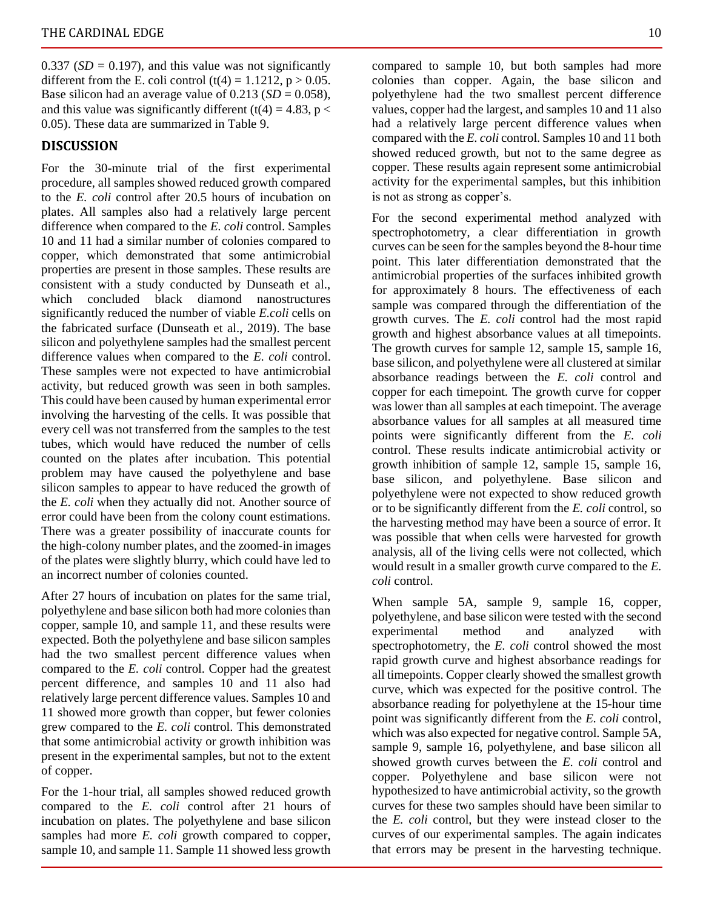$0.337$  (*SD* = 0.197), and this value was not significantly different from the E. coli control  $(t(4) = 1.1212, p > 0.05$ . Base silicon had an average value of  $0.213$  (*SD* = 0.058), and this value was significantly different (t(4) = 4.83, p < 0.05). These data are summarized in Table 9.

#### **DISCUSSION**

For the 30-minute trial of the first experimental procedure, all samples showed reduced growth compared to the *E. coli* control after 20.5 hours of incubation on plates. All samples also had a relatively large percent difference when compared to the *E. coli* control. Samples 10 and 11 had a similar number of colonies compared to copper, which demonstrated that some antimicrobial properties are present in those samples. These results are consistent with a study conducted by Dunseath et al., which concluded black diamond nanostructures significantly reduced the number of viable *E.coli* cells on the fabricated surface (Dunseath et al., 2019). The base silicon and polyethylene samples had the smallest percent difference values when compared to the *E. coli* control. These samples were not expected to have antimicrobial activity, but reduced growth was seen in both samples. This could have been caused by human experimental error involving the harvesting of the cells. It was possible that every cell was not transferred from the samples to the test tubes, which would have reduced the number of cells counted on the plates after incubation. This potential problem may have caused the polyethylene and base silicon samples to appear to have reduced the growth of the *E. coli* when they actually did not. Another source of error could have been from the colony count estimations. There was a greater possibility of inaccurate counts for the high-colony number plates, and the zoomed-in images of the plates were slightly blurry, which could have led to an incorrect number of colonies counted.

After 27 hours of incubation on plates for the same trial, polyethylene and base silicon both had more colonies than copper, sample 10, and sample 11, and these results were expected. Both the polyethylene and base silicon samples had the two smallest percent difference values when compared to the *E. coli* control. Copper had the greatest percent difference, and samples 10 and 11 also had relatively large percent difference values. Samples 10 and 11 showed more growth than copper, but fewer colonies grew compared to the *E. coli* control. This demonstrated that some antimicrobial activity or growth inhibition was present in the experimental samples, but not to the extent of copper.

For the 1-hour trial, all samples showed reduced growth compared to the *E. coli* control after 21 hours of incubation on plates. The polyethylene and base silicon samples had more *E. coli* growth compared to copper, sample 10, and sample 11. Sample 11 showed less growth

compared to sample 10, but both samples had more colonies than copper. Again, the base silicon and polyethylene had the two smallest percent difference values, copper had the largest, and samples 10 and 11 also had a relatively large percent difference values when compared with the *E. coli* control. Samples 10 and 11 both showed reduced growth, but not to the same degree as copper. These results again represent some antimicrobial activity for the experimental samples, but this inhibition is not as strong as copper's.

For the second experimental method analyzed with spectrophotometry, a clear differentiation in growth curves can be seen for the samples beyond the 8-hour time point. This later differentiation demonstrated that the antimicrobial properties of the surfaces inhibited growth for approximately 8 hours. The effectiveness of each sample was compared through the differentiation of the growth curves. The *E. coli* control had the most rapid growth and highest absorbance values at all timepoints. The growth curves for sample 12, sample 15, sample 16, base silicon, and polyethylene were all clustered at similar absorbance readings between the *E. coli* control and copper for each timepoint. The growth curve for copper was lower than all samples at each timepoint. The average absorbance values for all samples at all measured time points were significantly different from the *E. coli* control. These results indicate antimicrobial activity or growth inhibition of sample 12, sample 15, sample 16, base silicon, and polyethylene. Base silicon and polyethylene were not expected to show reduced growth or to be significantly different from the *E. coli* control, so the harvesting method may have been a source of error. It was possible that when cells were harvested for growth analysis, all of the living cells were not collected, which would result in a smaller growth curve compared to the *E. coli* control.

When sample 5A, sample 9, sample 16, copper, polyethylene, and base silicon were tested with the second experimental method and analyzed with spectrophotometry, the *E. coli* control showed the most rapid growth curve and highest absorbance readings for all timepoints. Copper clearly showed the smallest growth curve, which was expected for the positive control. The absorbance reading for polyethylene at the 15-hour time point was significantly different from the *E. coli* control, which was also expected for negative control. Sample 5A, sample 9, sample 16, polyethylene, and base silicon all showed growth curves between the *E. coli* control and copper. Polyethylene and base silicon were not hypothesized to have antimicrobial activity, so the growth curves for these two samples should have been similar to the *E. coli* control, but they were instead closer to the curves of our experimental samples. The again indicates that errors may be present in the harvesting technique.